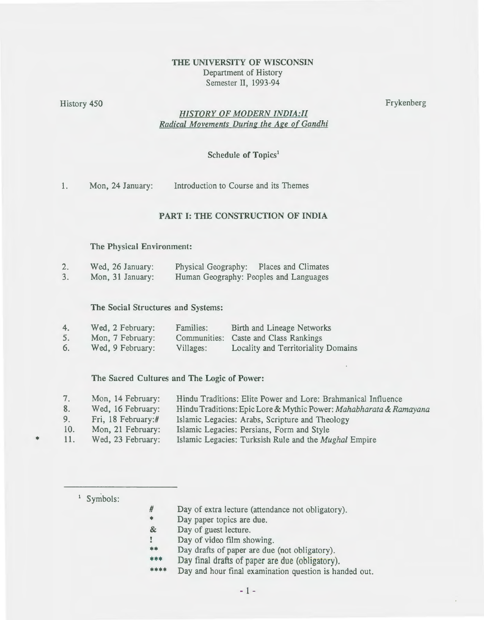# THE UNIVERSITY OF WISCONSIN Department of History Semester II, 1993-94

History 450 Frykenberg **Frykenberg** 

# *HISTORY OF MODERN JNDIA:ll Radical Movements During the Age of Gandhi*

## Schedule of Topics'

1. Mon, 24 January: Introduction to Course and its Themes

# PART I: THE CONSTRUCTION OF INDIA

#### The Physical Environment:

| $\mathcal{L}_{\bullet}$ | Wed, 26 January: | Physical Geography:                    | Places and Climates |
|-------------------------|------------------|----------------------------------------|---------------------|
| 3.                      | Mon, 31 January: | Human Geography: Peoples and Languages |                     |

#### The Social Structures and Systems:

| 4. | Wed, 2 February: | Families: | Birth and Lineage Networks            |
|----|------------------|-----------|---------------------------------------|
| 5. | Mon, 7 February: |           | Communities: Caste and Class Rankings |
| 6. | Wed, 9 February: | Villages: | Locality and Territoriality Domains   |

#### The Sacred Cultures and The Logic of Power:

| 7.  | Mon, 14 February:  | Hindu Traditions: Elite Power and Lore: Brahmanical Influence      |
|-----|--------------------|--------------------------------------------------------------------|
| 8.  | Wed, 16 February:  | Hindu Traditions: Epic Lore & Mythic Power: Mahabharata & Ramayana |
| 9.  | Fri, 18 February:# | Islamic Legacies: Arabs, Scripture and Theology                    |
| 10. | Mon, 21 February:  | Islamic Legacies: Persians, Form and Style                         |

- 11.
- Wed, 23 February: Islamic Legacies: Turksish Rule and the *Mughal* Empire

<sup>1</sup> Symbols:

\*

- # Day of extra lecture (attendance not obligatory).
- \* Day paper topics are due.
- & Day of guest lecture.
- Day of video film showing.  $\mathbf{r}$
- \*\* Day drafts of paper are due (not obligatory).
- \*"'\* Day final drafts of paper are due (obligatory).
- \*\*\* Day and hour final examination question is handed out.